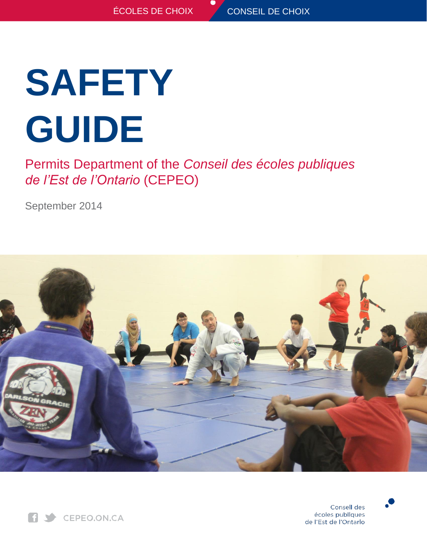# **SAFETY GUIDE**

Permits Department of the *Conseil des écoles publiques de l'Est de l'Ontario* (CEPEO)

September 2014







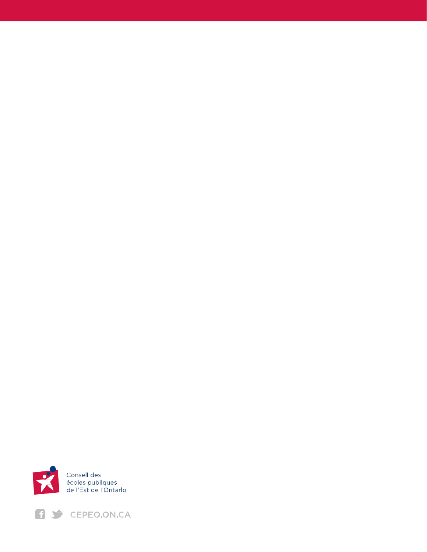

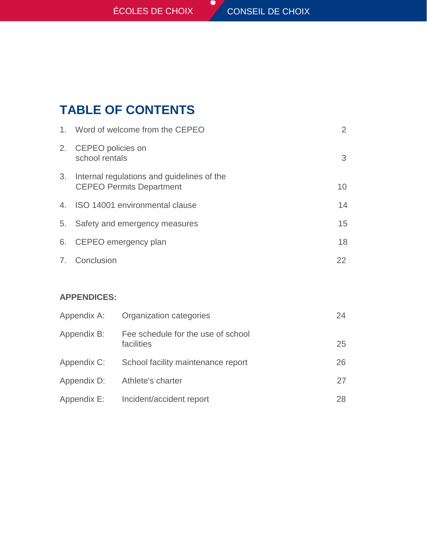# **TABLE OF CONTENTS**

|    | 1. Word of welcome from the CEPEO                                             |    |
|----|-------------------------------------------------------------------------------|----|
|    | 2. CEPEO policies on<br>school rentals                                        | 3  |
| 3. | Internal regulations and guidelines of the<br><b>CEPEO Permits Department</b> | 10 |
|    | 4. ISO 14001 environmental clause                                             | 14 |
| 5. | Safety and emergency measures                                                 | 15 |
|    | 6. CEPEO emergency plan                                                       | 18 |
|    | 7. Conclusion                                                                 | 22 |

 $\bullet$ 

# **APPENDICES:**

| Appendix A: | Organization categories                          | 24 |
|-------------|--------------------------------------------------|----|
| Appendix B: | Fee schedule for the use of school<br>facilities | 25 |
| Appendix C: | School facility maintenance report               | 26 |
| Appendix D: | Athlete's charter                                | 27 |
| Appendix E: | Incident/accident report                         | 28 |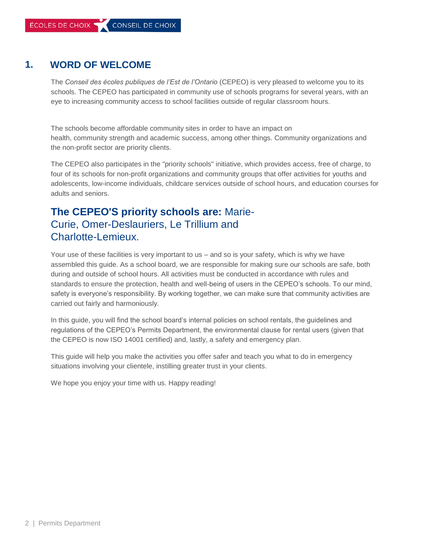# **1. WORD OF WELCOME**

The *Conseil des écoles publiques de l'Est de l'Ontario* (CEPEO) is very pleased to welcome you to its schools. The CEPEO has participated in community use of schools programs for several years, with an eye to increasing community access to school facilities outside of regular classroom hours.

The schools become affordable community sites in order to have an impact on health, community strength and academic success, among other things. Community organizations and the non-profit sector are priority clients.

The CEPEO also participates in the "priority schools" initiative, which provides access, free of charge, to four of its schools for non-profit organizations and community groups that offer activities for youths and adolescents, low-income individuals, childcare services outside of school hours, and education courses for adults and seniors.

# **The CEPEO'S priority schools are:** Marie-Curie, Omer-Deslauriers, Le Trillium and Charlotte-Lemieux.

Your use of these facilities is very important to us – and so is your safety, which is why we have assembled this guide. As a school board, we are responsible for making sure our schools are safe, both during and outside of school hours. All activities must be conducted in accordance with rules and standards to ensure the protection, health and well-being of users in the CEPEO's schools. To our mind, safety is everyone's responsibility. By working together, we can make sure that community activities are carried out fairly and harmoniously.

In this guide, you will find the school board's internal policies on school rentals, the guidelines and regulations of the CEPEO's Permits Department, the environmental clause for rental users (given that the CEPEO is now ISO 14001 certified) and, lastly, a safety and emergency plan.

This guide will help you make the activities you offer safer and teach you what to do in emergency situations involving your clientele, instilling greater trust in your clients.

We hope you enjoy your time with us. Happy reading!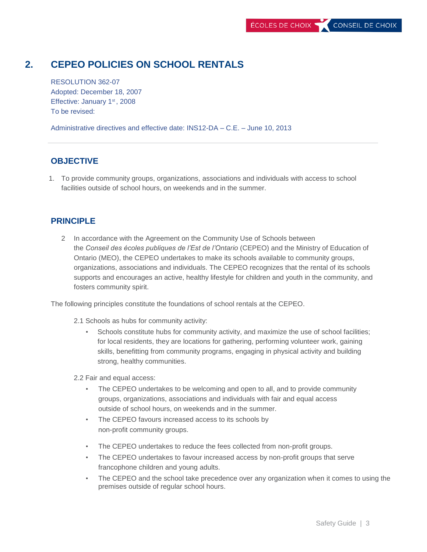# **2. CEPEO POLICIES ON SCHOOL RENTALS**

RESOLUTION 362-07 Adopted: December 18, 2007 Effective: January 1<sup>st</sup>, 2008 To be revised:

Administrative directives and effective date: INS12-DA – C.E. – June 10, 2013

#### **OBJECTIVE**

1. To provide community groups, organizations, associations and individuals with access to school facilities outside of school hours, on weekends and in the summer.

#### **PRINCIPLE**

2 In accordance with the Agreement on the Community Use of Schools between the *Conseil des écoles publiques de l'Est de l'Ontario* (CEPEO) and the Ministry of Education of Ontario (MEO), the CEPEO undertakes to make its schools available to community groups, organizations, associations and individuals. The CEPEO recognizes that the rental of its schools supports and encourages an active, healthy lifestyle for children and youth in the community, and fosters community spirit.

The following principles constitute the foundations of school rentals at the CEPEO.

2.1 Schools as hubs for community activity:

• Schools constitute hubs for community activity, and maximize the use of school facilities; for local residents, they are locations for gathering, performing volunteer work, gaining skills, benefitting from community programs, engaging in physical activity and building strong, healthy communities.

2.2 Fair and equal access:

- The CEPEO undertakes to be welcoming and open to all, and to provide community groups, organizations, associations and individuals with fair and equal access outside of school hours, on weekends and in the summer.
- The CEPEO favours increased access to its schools by non-profit community groups.
- The CEPEO undertakes to reduce the fees collected from non-profit groups.
- The CEPEO undertakes to favour increased access by non-profit groups that serve francophone children and young adults.
- The CEPEO and the school take precedence over any organization when it comes to using the premises outside of regular school hours.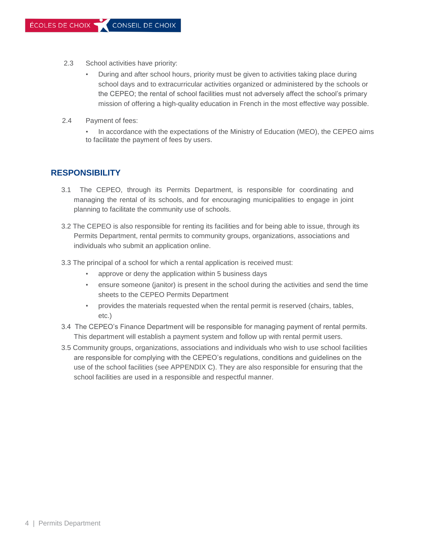- 2.3 School activities have priority:
	- During and after school hours, priority must be given to activities taking place during school days and to extracurricular activities organized or administered by the schools or the CEPEO; the rental of school facilities must not adversely affect the school's primary mission of offering a high-quality education in French in the most effective way possible.
- 2.4 Payment of fees:
	- In accordance with the expectations of the Ministry of Education (MEO), the CEPEO aims to facilitate the payment of fees by users.

#### **RESPONSIBILITY**

- 3.1 The CEPEO, through its Permits Department, is responsible for coordinating and managing the rental of its schools, and for encouraging municipalities to engage in joint planning to facilitate the community use of schools.
- 3.2 The CEPEO is also responsible for renting its facilities and for being able to issue, through its Permits Department, rental permits to community groups, organizations, associations and individuals who submit an application online.
- 3.3 The principal of a school for which a rental application is received must:
	- approve or deny the application within 5 business days
	- ensure someone (janitor) is present in the school during the activities and send the time sheets to the CEPEO Permits Department
	- provides the materials requested when the rental permit is reserved (chairs, tables, etc.)
- 3.4 The CEPEO's Finance Department will be responsible for managing payment of rental permits. This department will establish a payment system and follow up with rental permit users.
- 3.5 Community groups, organizations, associations and individuals who wish to use school facilities are responsible for complying with the CEPEO's regulations, conditions and guidelines on the use of the school facilities (see APPENDIX C). They are also responsible for ensuring that the school facilities are used in a responsible and respectful manner.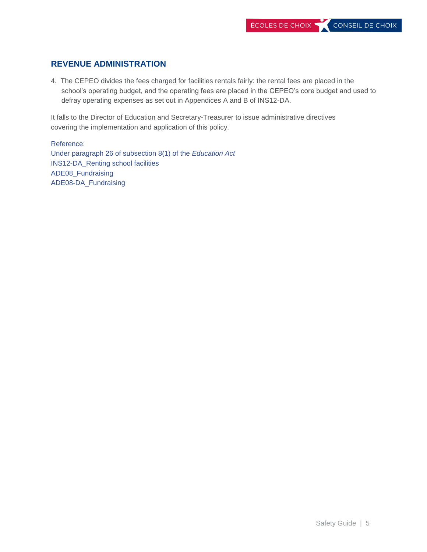#### **REVENUE ADMINISTRATION**

4. The CEPEO divides the fees charged for facilities rentals fairly: the rental fees are placed in the school's operating budget, and the operating fees are placed in the CEPEO's core budget and used to defray operating expenses as set out in Appendices A and B of INS12-DA.

It falls to the Director of Education and Secretary-Treasurer to issue administrative directives covering the implementation and application of this policy.

Reference: Under paragraph 26 of subsection 8(1) of the *Education Act* INS12-DA\_Renting school facilities ADE08\_Fundraising ADE08-DA\_Fundraising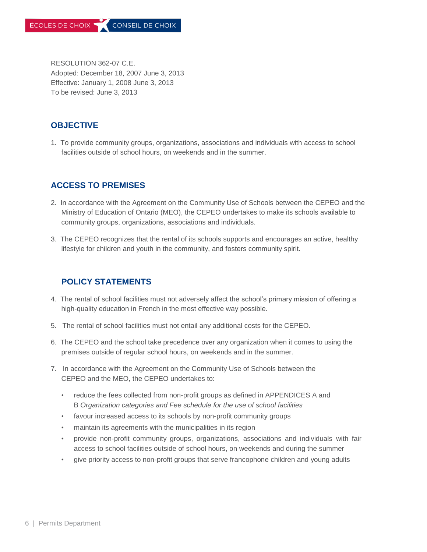RESOLUTION 362-07 C.E. Adopted: December 18, 2007 June 3, 2013 Effective: January 1, 2008 June 3, 2013 To be revised: June 3, 2013

#### **OBJECTIVE**

1. To provide community groups, organizations, associations and individuals with access to school facilities outside of school hours, on weekends and in the summer.

## **ACCESS TO PREMISES**

- 2. In accordance with the Agreement on the Community Use of Schools between the CEPEO and the Ministry of Education of Ontario (MEO), the CEPEO undertakes to make its schools available to community groups, organizations, associations and individuals.
- 3. The CEPEO recognizes that the rental of its schools supports and encourages an active, healthy lifestyle for children and youth in the community, and fosters community spirit.

#### **POLICY STATEMENTS**

- 4. The rental of school facilities must not adversely affect the school's primary mission of offering a high-quality education in French in the most effective way possible.
- 5. The rental of school facilities must not entail any additional costs for the CEPEO.
- 6. The CEPEO and the school take precedence over any organization when it comes to using the premises outside of regular school hours, on weekends and in the summer.
- 7. In accordance with the Agreement on the Community Use of Schools between the CEPEO and the MEO, the CEPEO undertakes to:
	- reduce the fees collected from non-profit groups as defined in APPENDICES A and B *Organization categories and Fee schedule for the use of school facilities*
	- favour increased access to its schools by non-profit community groups
	- maintain its agreements with the municipalities in its region
	- provide non-profit community groups, organizations, associations and individuals with fair access to school facilities outside of school hours, on weekends and during the summer
	- give priority access to non-profit groups that serve francophone children and young adults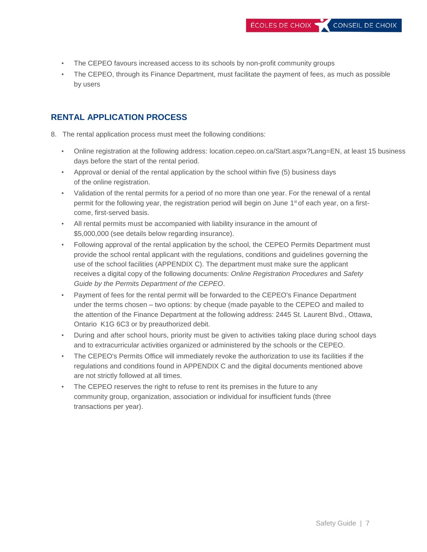- The CEPEO favours increased access to its schools by non-profit community groups
- The CEPEO, through its Finance Department, must facilitate the payment of fees, as much as possible by users

#### **RENTAL APPLICATION PROCESS**

- 8. The rental application process must meet the following conditions:
	- Online registration at the following address: location.cepeo.on.ca/Start.aspx?Lang=EN, at least 15 business days before the start of the rental period.
	- Approval or denial of the rental application by the school within five (5) business days of the online registration.
	- Validation of the rental permits for a period of no more than one year. For the renewal of a rental permit for the following year, the registration period will begin on June 1<sup>st</sup> of each year, on a firstcome, first-served basis.
	- All rental permits must be accompanied with liability insurance in the amount of \$5,000,000 (see details below regarding insurance).
	- Following approval of the rental application by the school, the CEPEO Permits Department must provide the school rental applicant with the regulations, conditions and guidelines governing the use of the school facilities (APPENDIX C). The department must make sure the applicant receives a digital copy of the following documents: *Online Registration Procedures* and *Safety Guide by the Permits Department of the CEPEO*.
	- Payment of fees for the rental permit will be forwarded to the CEPEO's Finance Department under the terms chosen – two options: by cheque (made payable to the CEPEO and mailed to the attention of the Finance Department at the following address: 2445 St. Laurent Blvd., Ottawa, Ontario K1G 6C3 or by preauthorized debit.
	- During and after school hours, priority must be given to activities taking place during school days and to extracurricular activities organized or administered by the schools or the CEPEO.
	- The CEPEO's Permits Office will immediately revoke the authorization to use its facilities if the regulations and conditions found in APPENDIX C and the digital documents mentioned above are not strictly followed at all times.
	- The CEPEO reserves the right to refuse to rent its premises in the future to any community group, organization, association or individual for insufficient funds (three transactions per year).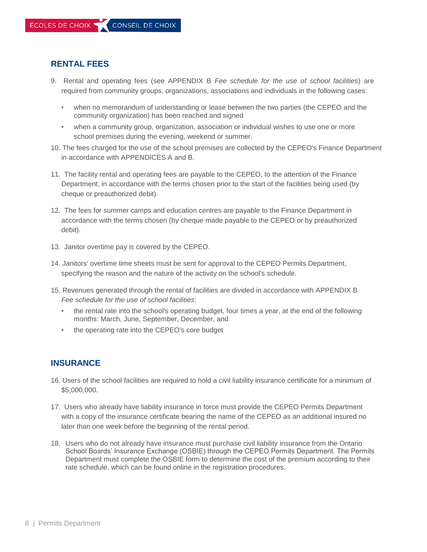#### **RENTAL FEES**

- 9. Rental and operating fees (see APPENDIX B *Fee schedule for the use of school facilities*) are required from community groups, organizations, associations and individuals in the following cases:
	- when no memorandum of understanding or lease between the two parties (the CEPEO and the community organization) has been reached and signed
	- when a community group, organization, association or individual wishes to use one or more school premises during the evening, weekend or summer.
- 10. The fees charged for the use of the school premises are collected by the CEPEO's Finance Department in accordance with APPENDICES A and B.
- 11. The facility rental and operating fees are payable to the CEPEO, to the attention of the Finance Department, in accordance with the terms chosen prior to the start of the facilities being used (by cheque or preauthorized debit).
- 12. The fees for summer camps and education centres are payable to the Finance Department in accordance with the terms chosen (by cheque made payable to the CEPEO or by preauthorized debit).
- 13. Janitor overtime pay is covered by the CEPEO.
- 14. Janitors' overtime time sheets must be sent for approval to the CEPEO Permits Department, specifying the reason and the nature of the activity on the school's schedule.
- 15. Revenues generated through the rental of facilities are divided in accordance with APPENDIX B *Fee schedule for the use of school facilities*:
	- the rental rate into the school's operating budget, four times a year, at the end of the following months: March, June, September, December, and
	- the operating rate into the CEPEO's core budget

#### **INSURANCE**

- 16. Users of the school facilities are required to hold a civil liability insurance certificate for a minimum of \$5,000,000.
- 17. Users who already have liability insurance in force must provide the CEPEO Permits Department with a copy of the insurance certificate bearing the name of the CEPEO as an additional insured no later than one week before the beginning of the rental period.
- 18. Users who do not already have insurance must purchase civil liability insurance from the Ontario School Boards' Insurance Exchange (OSBIE) through the CEPEO Permits Department. The Permits Department must complete the OSBIE form to determine the cost of the premium according to their rate schedule, which can be found online in the registration procedures.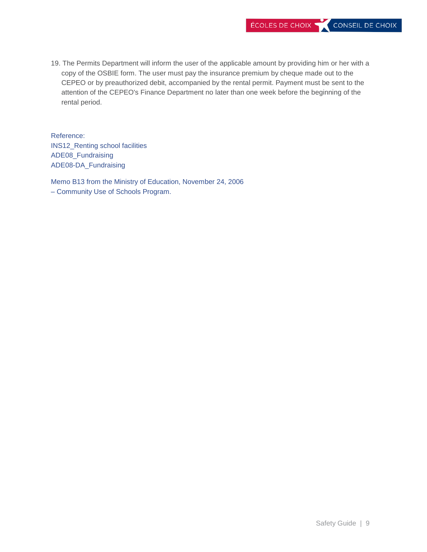19. The Permits Department will inform the user of the applicable amount by providing him or her with a copy of the OSBIE form. The user must pay the insurance premium by cheque made out to the CEPEO or by preauthorized debit, accompanied by the rental permit. Payment must be sent to the attention of the CEPEO's Finance Department no later than one week before the beginning of the rental period.

Reference: INS12\_Renting school facilities ADE08\_Fundraising ADE08-DA\_Fundraising

Memo B13 from the Ministry of Education, November 24, 2006 – Community Use of Schools Program.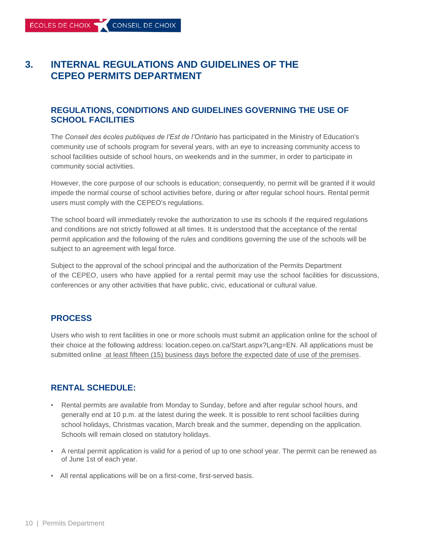# **3. INTERNAL REGULATIONS AND GUIDELINES OF THE CEPEO PERMITS DEPARTMENT**

#### **REGULATIONS, CONDITIONS AND GUIDELINES GOVERNING THE USE OF SCHOOL FACILITIES**

The *Conseil des écoles publiques de l'Est de l'Ontario* has participated in the Ministry of Education's community use of schools program for several years, with an eye to increasing community access to school facilities outside of school hours, on weekends and in the summer, in order to participate in community social activities.

However, the core purpose of our schools is education; consequently, no permit will be granted if it would impede the normal course of school activities before, during or after regular school hours. Rental permit users must comply with the CEPEO's regulations.

The school board will immediately revoke the authorization to use its schools if the required regulations and conditions are not strictly followed at all times. It is understood that the acceptance of the rental permit application and the following of the rules and conditions governing the use of the schools will be subject to an agreement with legal force.

Subject to the approval of the school principal and the authorization of the Permits Department of the CEPEO, users who have applied for a rental permit may use the school facilities for discussions, conferences or any other activities that have public, civic, educational or cultural value.

#### **PROCESS**

Users who wish to rent facilities in one or more schools must submit an application online for the school of their choice at the following address: location.cepeo.on.ca/Start.aspx?Lang=EN. All applications must be submitted online at least fifteen (15) business days before the expected date of use of the premises.

#### **RENTAL SCHEDULE:**

- Rental permits are available from Monday to Sunday, before and after regular school hours, and generally end at 10 p.m. at the latest during the week. It is possible to rent school facilities during school holidays, Christmas vacation, March break and the summer, depending on the application. Schools will remain closed on statutory holidays.
- A rental permit application is valid for a period of up to one school year. The permit can be renewed as of June 1st of each year.
- All rental applications will be on a first-come, first-served basis.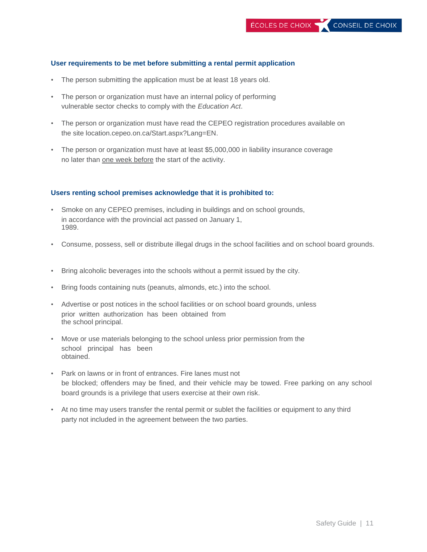#### **User requirements to be met before submitting a rental permit application**

- The person submitting the application must be at least 18 years old.
- The person or organization must have an internal policy of performing vulnerable sector checks to comply with the *Education Act*.
- The person or organization must have read the CEPEO registration procedures available on the site location.cepeo.on.ca/Start.aspx?Lang=EN.
- The person or organization must have at least \$5,000,000 in liability insurance coverage no later than one week before the start of the activity.

#### **Users renting school premises acknowledge that it is prohibited to:**

- Smoke on any CEPEO premises, including in buildings and on school grounds, in accordance with the provincial act passed on January 1, 1989.
- Consume, possess, sell or distribute illegal drugs in the school facilities and on school board grounds.
- Bring alcoholic beverages into the schools without a permit issued by the city.
- Bring foods containing nuts (peanuts, almonds, etc.) into the school.
- Advertise or post notices in the school facilities or on school board grounds, unless prior written authorization has been obtained from the school principal.
- Move or use materials belonging to the school unless prior permission from the school principal has been obtained.
- Park on lawns or in front of entrances. Fire lanes must not be blocked; offenders may be fined, and their vehicle may be towed. Free parking on any school board grounds is a privilege that users exercise at their own risk.
- At no time may users transfer the rental permit or sublet the facilities or equipment to any third party not included in the agreement between the two parties.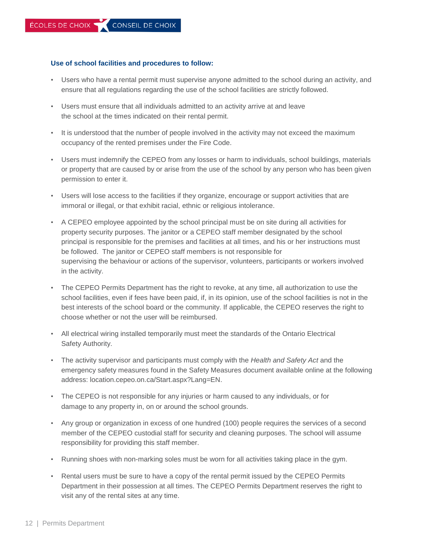#### **Use of school facilities and procedures to follow:**

- Users who have a rental permit must supervise anyone admitted to the school during an activity, and ensure that all regulations regarding the use of the school facilities are strictly followed.
- Users must ensure that all individuals admitted to an activity arrive at and leave the school at the times indicated on their rental permit.
- It is understood that the number of people involved in the activity may not exceed the maximum occupancy of the rented premises under the Fire Code.
- Users must indemnify the CEPEO from any losses or harm to individuals, school buildings, materials or property that are caused by or arise from the use of the school by any person who has been given permission to enter it.
- Users will lose access to the facilities if they organize, encourage or support activities that are immoral or illegal, or that exhibit racial, ethnic or religious intolerance.
- A CEPEO employee appointed by the school principal must be on site during all activities for property security purposes. The janitor or a CEPEO staff member designated by the school principal is responsible for the premises and facilities at all times, and his or her instructions must be followed. The janitor or CEPEO staff members is not responsible for supervising the behaviour or actions of the supervisor, volunteers, participants or workers involved in the activity.
- The CEPEO Permits Department has the right to revoke, at any time, all authorization to use the school facilities, even if fees have been paid, if, in its opinion, use of the school facilities is not in the best interests of the school board or the community. If applicable, the CEPEO reserves the right to choose whether or not the user will be reimbursed.
- All electrical wiring installed temporarily must meet the standards of the Ontario Electrical Safety Authority.
- The activity supervisor and participants must comply with the *Health and Safety Act* and the emergency safety measures found in the Safety Measures document available online at the following address: location.cepeo.on.ca/Start.aspx?Lang=EN.
- The CEPEO is not responsible for any injuries or harm caused to any individuals, or for damage to any property in, on or around the school grounds.
- Any group or organization in excess of one hundred (100) people requires the services of a second member of the CEPEO custodial staff for security and cleaning purposes. The school will assume responsibility for providing this staff member.
- Running shoes with non-marking soles must be worn for all activities taking place in the gym.
- Rental users must be sure to have a copy of the rental permit issued by the CEPEO Permits Department in their possession at all times. The CEPEO Permits Department reserves the right to visit any of the rental sites at any time.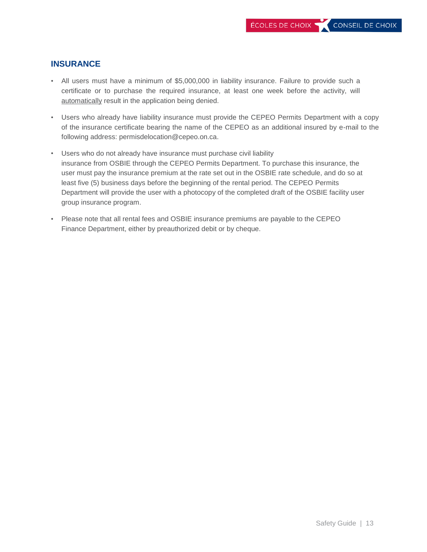#### **INSURANCE**

- All users must have a minimum of \$5,000,000 in liability insurance. Failure to provide such a certificate or to purchase the required insurance, at least one week before the activity, will automatically result in the application being denied.
- Users who already have liability insurance must provide the CEPEO Permits Department with a copy of the insurance certificate bearing the name of the CEPEO as an additional insured by e-mail to the following address: permisdelocation@cepeo.on.ca.
- Users who do not already have insurance must purchase civil liability insurance from OSBIE through the CEPEO Permits Department. To purchase this insurance, the user must pay the insurance premium at the rate set out in the OSBIE rate schedule, and do so at least five (5) business days before the beginning of the rental period. The CEPEO Permits Department will provide the user with a photocopy of the completed draft of the OSBIE facility user group insurance program.
- Please note that all rental fees and OSBIE insurance premiums are payable to the CEPEO Finance Department, either by preauthorized debit or by cheque.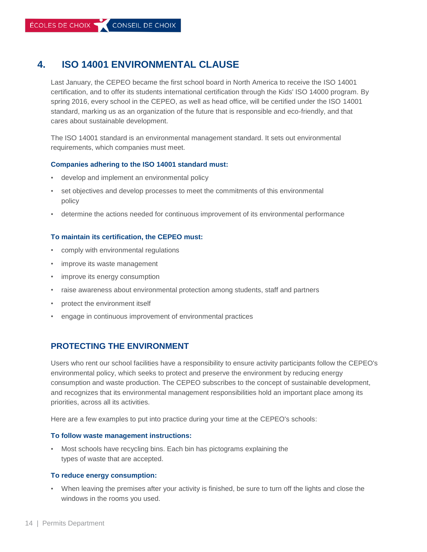# **4. ISO 14001 ENVIRONMENTAL CLAUSE**

Last January, the CEPEO became the first school board in North America to receive the ISO 14001 certification, and to offer its students international certification through the Kids' ISO 14000 program. By spring 2016, every school in the CEPEO, as well as head office, will be certified under the ISO 14001 standard, marking us as an organization of the future that is responsible and eco-friendly, and that cares about sustainable development.

The ISO 14001 standard is an environmental management standard. It sets out environmental requirements, which companies must meet.

#### **Companies adhering to the ISO 14001 standard must:**

- develop and implement an environmental policy
- set objectives and develop processes to meet the commitments of this environmental policy
- determine the actions needed for continuous improvement of its environmental performance

#### **To maintain its certification, the CEPEO must:**

- comply with environmental regulations
- improve its waste management
- improve its energy consumption
- raise awareness about environmental protection among students, staff and partners
- protect the environment itself
- engage in continuous improvement of environmental practices

#### **PROTECTING THE ENVIRONMENT**

Users who rent our school facilities have a responsibility to ensure activity participants follow the CEPEO's environmental policy, which seeks to protect and preserve the environment by reducing energy consumption and waste production. The CEPEO subscribes to the concept of sustainable development, and recognizes that its environmental management responsibilities hold an important place among its priorities, across all its activities.

Here are a few examples to put into practice during your time at the CEPEO's schools:

#### **To follow waste management instructions:**

• Most schools have recycling bins. Each bin has pictograms explaining the types of waste that are accepted.

#### **To reduce energy consumption:**

• When leaving the premises after your activity is finished, be sure to turn off the lights and close the windows in the rooms you used.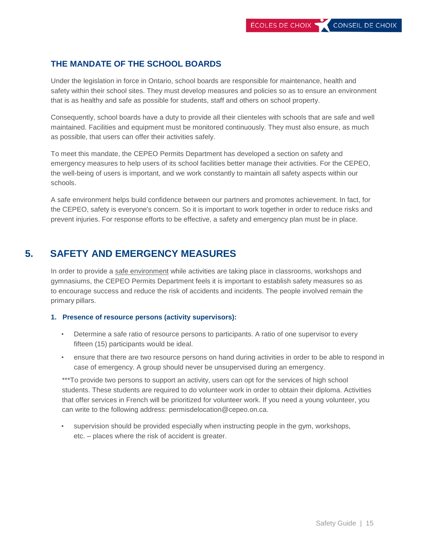#### **THE MANDATE OF THE SCHOOL BOARDS**

Under the legislation in force in Ontario, school boards are responsible for maintenance, health and safety within their school sites. They must develop measures and policies so as to ensure an environment that is as healthy and safe as possible for students, staff and others on school property.

Consequently, school boards have a duty to provide all their clienteles with schools that are safe and well maintained. Facilities and equipment must be monitored continuously. They must also ensure, as much as possible, that users can offer their activities safely.

To meet this mandate, the CEPEO Permits Department has developed a section on safety and emergency measures to help users of its school facilities better manage their activities. For the CEPEO, the well-being of users is important, and we work constantly to maintain all safety aspects within our schools.

A safe environment helps build confidence between our partners and promotes achievement. In fact, for the CEPEO, safety is everyone's concern. So it is important to work together in order to reduce risks and prevent injuries. For response efforts to be effective, a safety and emergency plan must be in place.

# **5. SAFETY AND EMERGENCY MEASURES**

In order to provide a safe environment while activities are taking place in classrooms, workshops and gymnasiums, the CEPEO Permits Department feels it is important to establish safety measures so as to encourage success and reduce the risk of accidents and incidents. The people involved remain the primary pillars.

#### **1. Presence of resource persons (activity supervisors):**

- Determine a safe ratio of resource persons to participants. A ratio of one supervisor to every fifteen (15) participants would be ideal.
- ensure that there are two resource persons on hand during activities in order to be able to respond in case of emergency. A group should never be unsupervised during an emergency.

\*\*\*To provide two persons to support an activity, users can opt for the services of high school students. These students are required to do volunteer work in order to obtain their diploma. Activities that offer services in French will be prioritized for volunteer work. If you need a [young volunteer, you](mailto:permisdelocation@cepeo.on.ca)  [can write to the following address: permisdelocation@cepeo.on.ca.](mailto:permisdelocation@cepeo.on.ca)

• supervision should be provided especially when instructing people in the gym, workshops, etc. – places where the risk of accident is greater.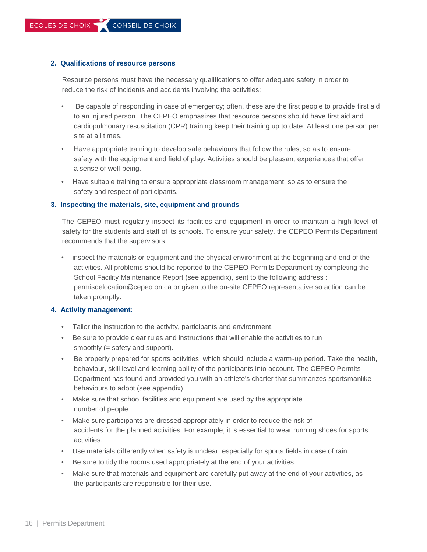#### **2. Qualifications of resource persons**

Resource persons must have the necessary qualifications to offer adequate safety in order to reduce the risk of incidents and accidents involving the activities:

- Be capable of responding in case of emergency; often, these are the first people to provide first aid to an injured person. The CEPEO emphasizes that resource persons should have first aid and cardiopulmonary resuscitation (CPR) training keep their training up to date. At least one person per site at all times.
- Have appropriate training to develop safe behaviours that follow the rules, so as to ensure safety with the equipment and field of play. Activities should be pleasant experiences that offer a sense of well-being.
- Have suitable training to ensure appropriate classroom management, so as to ensure the safety and respect of participants.

#### **3. Inspecting the materials, site, equipment and grounds**

The CEPEO must regularly inspect its facilities and equipment in order to maintain a high level of safety for the students and staff of its schools. To ensure your safety, the CEPEO Permits Department recommends that the supervisors:

• inspect the materials or equipment and the physical environment at the beginning and end of the activities. All problems should be reported to the CEPEO Permits Department by completing the School Facility Maintenance Report (see appendix), sent to the following address [:](mailto:permisdelocation@cepeo.on.ca) [permisdelocation@cepeo.on.ca o](mailto:permisdelocation@cepeo.on.ca)r given to the on-site CEPEO representative so action can be taken promptly.

#### **4. Activity management:**

- Tailor the instruction to the activity, participants and environment.
- Be sure to provide clear rules and instructions that will enable the activities to run smoothly (= safety and support).
- Be properly prepared for sports activities, which should include a warm-up period. Take the health, behaviour, skill level and learning ability of the participants into account. The CEPEO Permits Department has found and provided you with an athlete's charter that summarizes sportsmanlike behaviours to adopt (see appendix).
- Make sure that school facilities and equipment are used by the appropriate number of people.
- Make sure participants are dressed appropriately in order to reduce the risk of accidents for the planned activities. For example, it is essential to wear running shoes for sports activities.
- Use materials differently when safety is unclear, especially for sports fields in case of rain.
- Be sure to tidy the rooms used appropriately at the end of your activities.
- Make sure that materials and equipment are carefully put away at the end of your activities, as the participants are responsible for their use.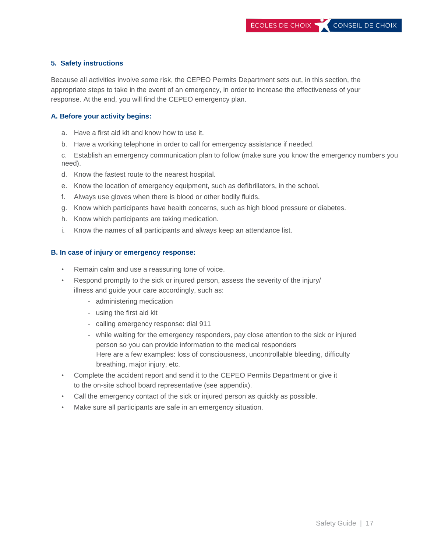#### **5. Safety instructions**

Because all activities involve some risk, the CEPEO Permits Department sets out, in this section, the appropriate steps to take in the event of an emergency, in order to increase the effectiveness of your response. At the end, you will find the CEPEO emergency plan.

#### **A. Before your activity begins:**

- a. Have a first aid kit and know how to use it.
- b. Have a working telephone in order to call for emergency assistance if needed.

c. Establish an emergency communication plan to follow (make sure you know the emergency numbers you need).

- d. Know the fastest route to the nearest hospital.
- e. Know the location of emergency equipment, such as defibrillators, in the school.
- f. Always use gloves when there is blood or other bodily fluids.
- g. Know which participants have health concerns, such as high blood pressure or diabetes.
- h. Know which participants are taking medication.
- i. Know the names of all participants and always keep an attendance list.

#### **B. In case of injury or emergency response:**

- Remain calm and use a reassuring tone of voice.
- Respond promptly to the sick or injured person, assess the severity of the injury/ illness and guide your care accordingly, such as:
	- administering medication
	- using the first aid kit
	- calling emergency response: dial 911
	- while waiting for the emergency responders, pay close attention to the sick or injured person so you can provide information to the medical responders Here are a few examples: loss of consciousness, uncontrollable bleeding, difficulty breathing, major injury, etc.
- Complete the accident report and send it to the CEPEO Permits Department or give it to the on-site school board representative (see appendix).
- Call the emergency contact of the sick or injured person as quickly as possible.
- Make sure all participants are safe in an emergency situation.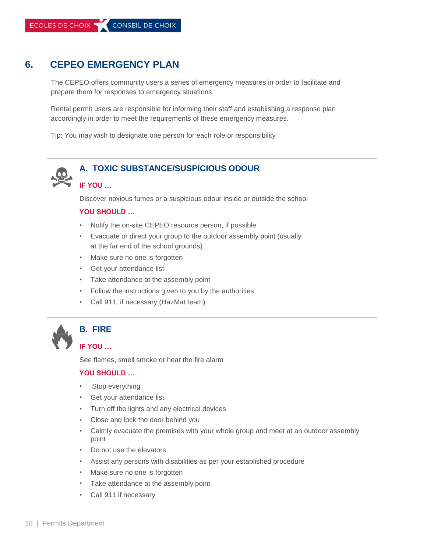# **6. CEPEO EMERGENCY PLAN**

The CEPEO offers community users a series of emergency measures in order to facilitate and prepare them for responses to emergency situations.

Rental permit users are responsible for informing their staff and establishing a response plan accordingly in order to meet the requirements of these emergency measures.

Tip: You may wish to designate one person for each role or responsibility



## **A. TOXIC SUBSTANCE/SUSPICIOUS ODOUR**

#### **IF YOU …**

Discover noxious fumes or a suspicious odour inside or outside the school

#### **YOU SHOULD …**

- Notify the on-site CEPEO resource person, if possible
- Evacuate or direct your group to the outdoor assembly point (usually at the far end of the school grounds)
- Make sure no one is forgotten
- Get your attendance list
- Take attendance at the assembly point
- Follow the instructions given to you by the authorities
- Call 911, if necessary (HazMat team)



#### **B. FIRE**

#### **IF YOU …**

See flames, smell smoke or hear the fire alarm

#### **YOU SHOULD …**

- Stop everything
- Get your attendance list
- Turn off the lights and any electrical devices
- Close and lock the door behind you
- Calmly evacuate the premises with your whole group and meet at an outdoor assembly point
- Do not use the elevators
- Assist any persons with disabilities as per your established procedure
- Make sure no one is forgotten
- Take attendance at the assembly point
- Call 911 if necessary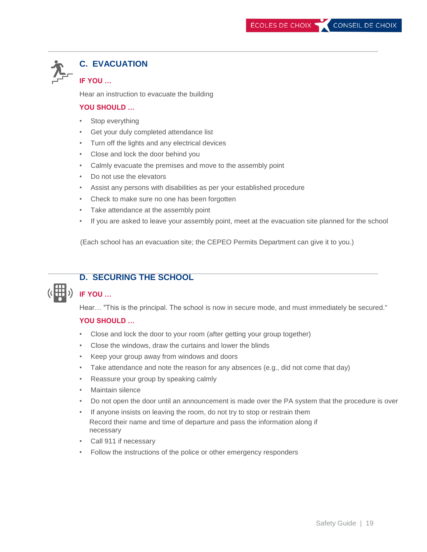# **C. EVACUATION**

#### **IF YOU …**

Hear an instruction to evacuate the building

#### **YOU SHOULD …**

- Stop everything
- Get your duly completed attendance list
- Turn off the lights and any electrical devices
- Close and lock the door behind you
- Calmly evacuate the premises and move to the assembly point
- Do not use the elevators
- Assist any persons with disabilities as per your established procedure
- Check to make sure no one has been forgotten
- Take attendance at the assembly point
- If you are asked to leave your assembly point, meet at the evacuation site planned for the school

(Each school has an evacuation site; the CEPEO Permits Department can give it to you.)



# **D. SECURING THE SCHOOL**

#### **IF YOU …**

Hear… "This is the principal. The school is now in secure mode, and must immediately be secured."

#### **YOU SHOULD …**

- Close and lock the door to your room (after getting your group together)
- Close the windows, draw the curtains and lower the blinds
- Keep your group away from windows and doors
- Take attendance and note the reason for any absences (e.g., did not come that day)
- Reassure your group by speaking calmly
- Maintain silence
- Do not open the door until an announcement is made over the PA system that the procedure is over
- If anyone insists on leaving the room, do not try to stop or restrain them Record their name and time of departure and pass the information along if necessary
- Call 911 if necessary
- Follow the instructions of the police or other emergency responders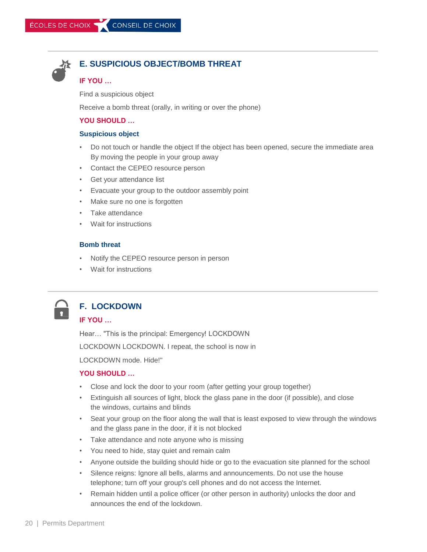

#### **E. SUSPICIOUS OBJECT/BOMB THREAT**

#### **IF YOU …**

Find a suspicious object

Receive a bomb threat (orally, in writing or over the phone)

#### **YOU SHOULD …**

#### **Suspicious object**

- Do not touch or handle the object If the object has been opened, secure the immediate area By moving the people in your group away
- Contact the CEPEO resource person
- Get your attendance list
- Evacuate your group to the outdoor assembly point
- Make sure no one is forgotten
- Take attendance
- Wait for instructions

#### **Bomb threat**

- Notify the CEPEO resource person in person
- Wait for instructions

# **F. LOCKDOWN IF YOU …**

Hear… "This is the principal: Emergency! LOCKDOWN

LOCKDOWN LOCKDOWN. I repeat, the school is now in

LOCKDOWN mode. Hide!"

#### **YOU SHOULD …**

- Close and lock the door to your room (after getting your group together)
- Extinguish all sources of light, block the glass pane in the door (if possible), and close the windows, curtains and blinds
- Seat your group on the floor along the wall that is least exposed to view through the windows and the glass pane in the door, if it is not blocked
- Take attendance and note anyone who is missing
- You need to hide, stay quiet and remain calm
- Anyone outside the building should hide or go to the evacuation site planned for the school
- Silence reigns: Ignore all bells, alarms and announcements. Do not use the house telephone; turn off your group's cell phones and do not access the Internet.
- Remain hidden until a police officer (or other person in authority) unlocks the door and announces the end of the lockdown.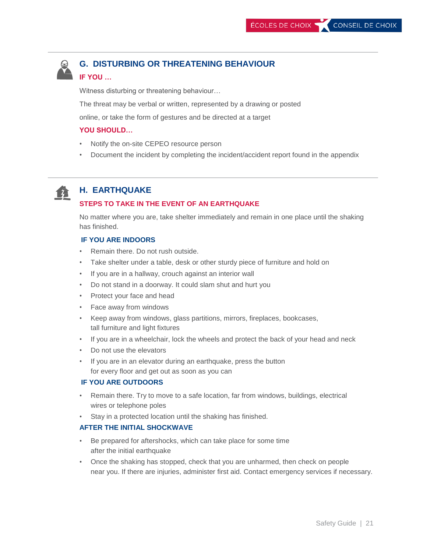

# **G. DISTURBING OR THREATENING BEHAVIOUR**

#### **IF YOU …**

Witness disturbing or threatening behaviour…

The threat may be verbal or written, represented by a drawing or posted

online, or take the form of gestures and be directed at a target

#### **YOU SHOULD…**

- Notify the on-site CEPEO resource person
- Document the incident by completing the incident/accident report found in the appendix



#### **H. EARTHQUAKE**

#### **STEPS TO TAKE IN THE EVENT OF AN EARTHQUAKE**

No matter where you are, take shelter immediately and remain in one place until the shaking has finished.

#### **IF YOU ARE INDOORS**

- Remain there. Do not rush outside.
- Take shelter under a table, desk or other sturdy piece of furniture and hold on
- If you are in a hallway, crouch against an interior wall
- Do not stand in a doorway. It could slam shut and hurt you
- Protect your face and head
- Face away from windows
- Keep away from windows, glass partitions, mirrors, fireplaces, bookcases, tall furniture and light fixtures
- If you are in a wheelchair, lock the wheels and protect the back of your head and neck
- Do not use the elevators
- If you are in an elevator during an earthquake, press the button for every floor and get out as soon as you can

#### **IF YOU ARE OUTDOORS**

- Remain there. Try to move to a safe location, far from windows, buildings, electrical wires or telephone poles
- Stay in a protected location until the shaking has finished.

#### **AFTER THE INITIAL SHOCKWAVE**

- Be prepared for aftershocks, which can take place for some time after the initial earthquake
- Once the shaking has stopped, check that you are unharmed, then check on people near you. If there are injuries, administer first aid. Contact emergency services if necessary.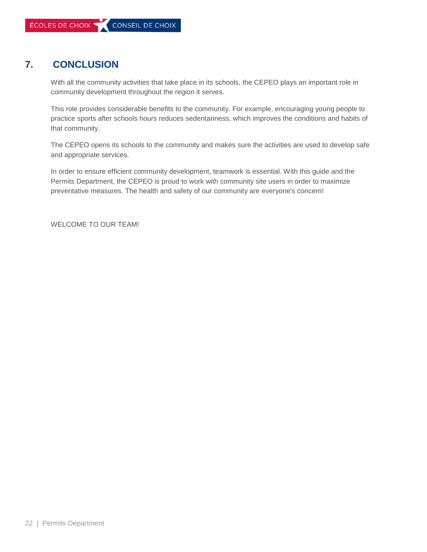# **7. CONCLUSION**

With all the community activities that take place in its schools, the CEPEO plays an important role in community development throughout the region it serves.

This role provides considerable benefits to the community. For example, encouraging young people to practice sports after schools hours reduces sedentariness, which improves the conditions and habits of that community.

The CEPEO opens its schools to the community and makes sure the activities are used to develop safe and appropriate services.

In order to ensure efficient community development, teamwork is essential. With this guide and the Permits Department, the CEPEO is proud to work with community site users in order to maximize preventative measures. The health and safety of our community are everyone's concern!

WELCOME TO OUR TEAM!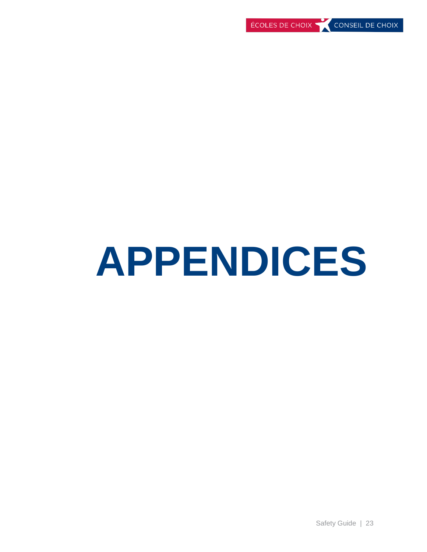# **APPENDICES**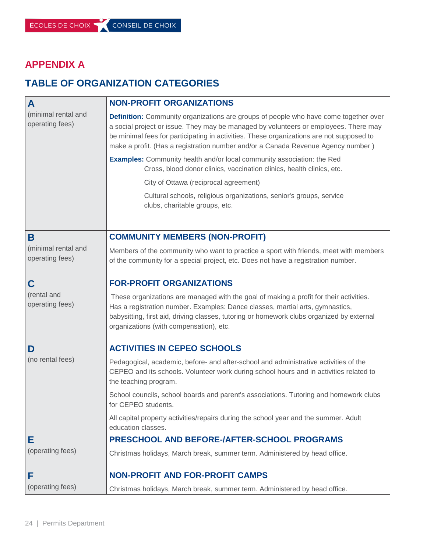# **APPENDIX A**

# **TABLE OF ORGANIZATION CATEGORIES**

| A                                      | <b>NON-PROFIT ORGANIZATIONS</b>                                                                                                                                                                                                                                                                                                                                     |  |  |  |  |  |
|----------------------------------------|---------------------------------------------------------------------------------------------------------------------------------------------------------------------------------------------------------------------------------------------------------------------------------------------------------------------------------------------------------------------|--|--|--|--|--|
| (minimal rental and<br>operating fees) | <b>Definition:</b> Community organizations are groups of people who have come together over<br>a social project or issue. They may be managed by volunteers or employees. There may<br>be minimal fees for participating in activities. These organizations are not supposed to<br>make a profit. (Has a registration number and/or a Canada Revenue Agency number) |  |  |  |  |  |
|                                        | <b>Examples:</b> Community health and/or local community association: the Red<br>Cross, blood donor clinics, vaccination clinics, health clinics, etc.                                                                                                                                                                                                              |  |  |  |  |  |
|                                        | City of Ottawa (reciprocal agreement)                                                                                                                                                                                                                                                                                                                               |  |  |  |  |  |
|                                        | Cultural schools, religious organizations, senior's groups, service<br>clubs, charitable groups, etc.                                                                                                                                                                                                                                                               |  |  |  |  |  |
|                                        |                                                                                                                                                                                                                                                                                                                                                                     |  |  |  |  |  |
| B                                      | <b>COMMUNITY MEMBERS (NON-PROFIT)</b>                                                                                                                                                                                                                                                                                                                               |  |  |  |  |  |
| (minimal rental and<br>operating fees) | Members of the community who want to practice a sport with friends, meet with members<br>of the community for a special project, etc. Does not have a registration number.                                                                                                                                                                                          |  |  |  |  |  |
| C                                      | <b>FOR-PROFIT ORGANIZATIONS</b>                                                                                                                                                                                                                                                                                                                                     |  |  |  |  |  |
| (rental and<br>operating fees)         | These organizations are managed with the goal of making a profit for their activities.<br>Has a registration number. Examples: Dance classes, martial arts, gymnastics,<br>babysitting, first aid, driving classes, tutoring or homework clubs organized by external<br>organizations (with compensation), etc.                                                     |  |  |  |  |  |
| D                                      | <b>ACTIVITIES IN CEPEO SCHOOLS</b>                                                                                                                                                                                                                                                                                                                                  |  |  |  |  |  |
| (no rental fees)                       | Pedagogical, academic, before- and after-school and administrative activities of the<br>CEPEO and its schools. Volunteer work during school hours and in activities related to<br>the teaching program.                                                                                                                                                             |  |  |  |  |  |
|                                        | School councils, school boards and parent's associations. Tutoring and homework clubs<br>for CEPEO students.                                                                                                                                                                                                                                                        |  |  |  |  |  |
|                                        | All capital property activities/repairs during the school year and the summer. Adult<br>education classes.                                                                                                                                                                                                                                                          |  |  |  |  |  |
| Е                                      | PRESCHOOL AND BEFORE-/AFTER-SCHOOL PROGRAMS                                                                                                                                                                                                                                                                                                                         |  |  |  |  |  |
| (operating fees)                       | Christmas holidays, March break, summer term. Administered by head office.                                                                                                                                                                                                                                                                                          |  |  |  |  |  |
| F                                      | <b>NON-PROFIT AND FOR-PROFIT CAMPS</b>                                                                                                                                                                                                                                                                                                                              |  |  |  |  |  |
| (operating fees)                       | Christmas holidays, March break, summer term. Administered by head office.                                                                                                                                                                                                                                                                                          |  |  |  |  |  |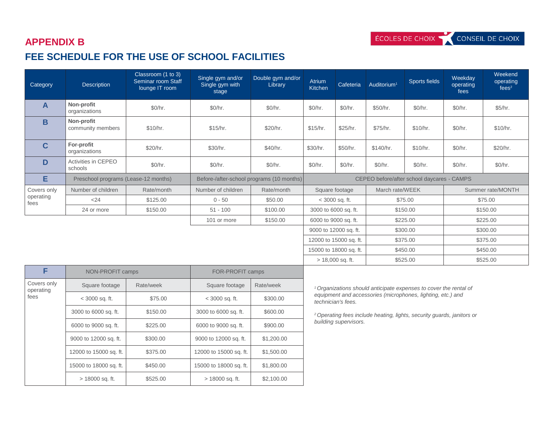# **APPENDIX B FEE SCHEDULE FOR THE USE OF SCHOOL FACILITIES**

| Category          | <b>Description</b>                   | Classroom (1 to 3)<br>Seminar room Staff<br>lounge IT room | Single gym and/or<br>Single gym with<br>stage | Double gym and/or<br>Library              | Atrium<br>Kitchen                | Cafeteria              | Auditorium <sup>1</sup> | Sports fields                              | Weekday<br>operating<br>fees | Weekend<br>operating<br>fees <sup>2</sup> |
|-------------------|--------------------------------------|------------------------------------------------------------|-----------------------------------------------|-------------------------------------------|----------------------------------|------------------------|-------------------------|--------------------------------------------|------------------------------|-------------------------------------------|
| A                 | Non-profit<br>organizations          | \$0/hr.                                                    | \$0/hr.                                       | \$0/hr.                                   | \$0/hr.                          | \$0/hr.                | \$50/hr.                | \$0/hr.                                    | \$0/hr.                      | \$5/hr.                                   |
| B                 | Non-profit<br>community members      | \$10/hr.                                                   | \$15/hr.                                      | \$20/hr.                                  | \$15/hr.                         | \$25/hr.               | \$75/hr.                | \$10/hr.                                   | \$0/hr.                      | \$10/hr.                                  |
| $\mathbf{C}$      | For-profit<br>organizations          | \$20/hr.                                                   | \$30/hr.                                      | \$40/hr.                                  | \$30/hr.                         | \$50/hr.               | \$140/hr.               | \$10/hr.                                   | \$0/hr.                      | \$20/hr.                                  |
| D                 | Activities in CEPEO<br>schools       | \$0/hr.                                                    | \$0/hr.                                       | \$0/hr.                                   | \$0/hr.                          | \$0/hr.                | \$0/hr.                 | \$0/hr.                                    | \$0/hr.                      | \$0/hr.                                   |
| Е                 | Preschool programs (Lease-12 months) |                                                            |                                               | Before-/after-school programs (10 months) |                                  |                        |                         | CEPEO before/after school daycares - CAMPS |                              |                                           |
| Covers only       | Number of children                   | Rate/month                                                 | Number of children                            | Rate/month                                |                                  | Square footage         | March rate/WEEK         |                                            | Summer rate/MONTH            |                                           |
| operating<br>fees | < 24                                 | \$125.00                                                   | $0 - 50$                                      | \$50.00                                   |                                  | $<$ 3000 sq. ft.       | \$75.00                 |                                            | \$75.00                      |                                           |
|                   | 24 or more                           | \$150.00                                                   | $51 - 100$                                    | \$100.00                                  | 3000 to 6000 sq. ft.<br>\$150.00 |                        |                         | \$150.00                                   |                              |                                           |
|                   |                                      |                                                            | 101 or more                                   | \$150.00                                  |                                  | 6000 to 9000 sq. ft.   |                         | \$225.00                                   |                              | \$225.00                                  |
|                   |                                      |                                                            |                                               |                                           |                                  | 9000 to 12000 sq. ft.  |                         | \$300.00                                   |                              | \$300.00                                  |
|                   |                                      |                                                            |                                               |                                           |                                  | 12000 to 15000 sq. ft. |                         | \$375.00                                   |                              | \$375.00                                  |
|                   |                                      |                                                            |                                               |                                           |                                  | 15000 to 18000 sq. ft. |                         | \$450.00                                   |                              | \$450.00                                  |
|                   |                                      |                                                            |                                               |                                           |                                  | $> 18,000$ sq. ft.     |                         | \$525.00                                   |                              | \$525.00                                  |

| F                        | NON-PROFIT camps       |           | FOR-PROFIT camps       |            |  |
|--------------------------|------------------------|-----------|------------------------|------------|--|
| Covers only<br>operating | Square footage         | Rate/week | Square footage         | Rate/week  |  |
| fees                     | $<$ 3000 sq. ft.       | \$75.00   | $<$ 3000 sq. ft.       | \$300.00   |  |
|                          | 3000 to 6000 sq. ft.   | \$150.00  | 3000 to 6000 sq. ft.   | \$600.00   |  |
|                          | 6000 to 9000 sq. ft.   | \$225.00  | 6000 to 9000 sq. ft.   | \$900.00   |  |
|                          | 9000 to 12000 sq. ft.  | \$300.00  | 9000 to 12000 sq. ft.  | \$1,200.00 |  |
|                          | 12000 to 15000 sq. ft. | \$375.00  | 12000 to 15000 sq. ft. | \$1,500.00 |  |
|                          | 15000 to 18000 sq. ft. | \$450.00  | 15000 to 18000 sq. ft. | \$1,800.00 |  |
|                          | > 18000 sq. ft.        | \$525.00  | > 18000 sq. ft.        | \$2,100.00 |  |

*<sup>1</sup>Organizations should anticipate expenses to cover the rental of equipment and accessories (microphones, lighting, etc.) and technician's fees.*

*<sup>2</sup>Operating fees include heating, lights, security guards, janitors or building supervisors.*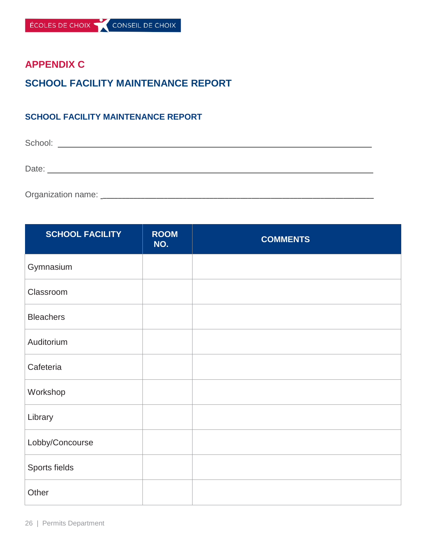# **APPENDIX C**

# **SCHOOL FACILITY MAINTENANCE REPORT**

## **SCHOOL FACILITY MAINTENANCE REPORT**

School: \_\_\_\_\_\_\_\_\_\_\_\_\_\_\_\_\_\_\_\_\_\_\_\_\_\_\_\_\_\_\_\_\_\_\_\_\_\_\_\_\_\_\_\_\_\_\_\_\_\_\_\_\_\_\_\_\_\_\_\_\_\_\_\_\_\_\_

Date: \_\_\_\_\_\_\_\_\_\_\_\_\_\_\_\_\_\_\_\_\_\_\_\_\_\_\_\_\_\_\_\_\_\_\_\_\_\_\_\_\_\_\_\_\_\_\_\_\_\_\_\_\_\_\_\_\_\_\_\_\_\_\_\_\_\_\_\_\_\_

Organization name: \_\_\_\_\_\_\_\_\_\_\_\_\_\_\_\_\_\_\_\_\_\_\_\_\_\_\_\_\_\_\_\_\_\_\_\_\_\_\_\_\_\_\_\_\_\_\_\_\_\_\_\_\_\_\_\_\_\_\_\_\_\_\_\_\_\_\_\_\_\_\_

| <b>SCHOOL FACILITY</b> | <b>ROOM</b><br>NO. | <b>COMMENTS</b> |
|------------------------|--------------------|-----------------|
| Gymnasium              |                    |                 |
| Classroom              |                    |                 |
| <b>Bleachers</b>       |                    |                 |
| Auditorium             |                    |                 |
| Cafeteria              |                    |                 |
| Workshop               |                    |                 |
| Library                |                    |                 |
| Lobby/Concourse        |                    |                 |
| Sports fields          |                    |                 |
| Other                  |                    |                 |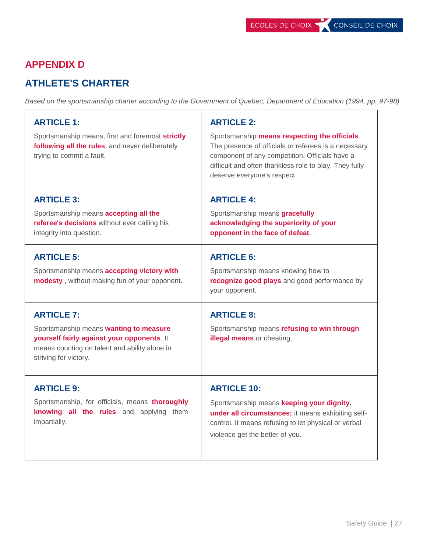# **APPENDIX D**

# **ATHLETE'S CHARTER**

*Based on the sportsmanship charter according to the Government of Quebec, Department of Education (1994, pp. 97-98)*

| <b>ARTICLE 1:</b><br>Sportsmanship means, first and foremost strictly<br>following all the rules, and never deliberately<br>trying to commit a fault.                               | <b>ARTICLE 2:</b><br>Sportsmanship means respecting the officials.<br>The presence of officials or referees is a necessary<br>component of any competition. Officials have a<br>difficult and often thankless role to play. They fully<br>deserve everyone's respect. |
|-------------------------------------------------------------------------------------------------------------------------------------------------------------------------------------|-----------------------------------------------------------------------------------------------------------------------------------------------------------------------------------------------------------------------------------------------------------------------|
| <b>ARTICLE 3:</b><br>Sportsmanship means accepting all the<br>referee's decisions without ever calling his<br>integrity into question.                                              | <b>ARTICLE 4:</b><br>Sportsmanship means gracefully<br>acknowledging the superiority of your<br>opponent in the face of defeat.                                                                                                                                       |
| <b>ARTICLE 5:</b><br>Sportsmanship means accepting victory with<br>modesty, without making fun of your opponent.                                                                    | <b>ARTICLE 6:</b><br>Sportsmanship means knowing how to<br>recognize good plays and good performance by<br>your opponent.                                                                                                                                             |
| <b>ARTICLE 7:</b><br>Sportsmanship means wanting to measure<br>yourself fairly against your opponents. It<br>means counting on talent and ability alone in<br>striving for victory. | <b>ARTICLE 8:</b><br>Sportsmanship means refusing to win through<br>illegal means or cheating.                                                                                                                                                                        |
| <b>ARTICLE 9:</b><br>Sportsmanship, for officials, means thoroughly<br>knowing all the rules and applying them<br>impartially.                                                      | <b>ARTICLE 10:</b><br>Sportsmanship means keeping your dignity.<br>under all circumstances; it means exhibiting self-<br>control. It means refusing to let physical or verbal<br>violence get the better of you.                                                      |